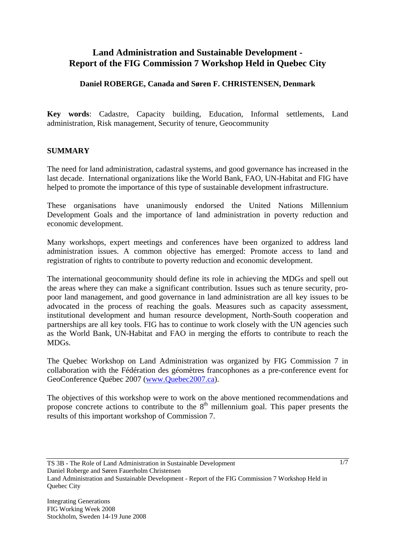# **Land Administration and Sustainable Development - Report of the FIG Commission 7 Workshop Held in Quebec City**

#### **Daniel ROBERGE, Canada and Søren F. CHRISTENSEN, Denmark**

**Key words**: Cadastre, Capacity building, Education, Informal settlements, Land administration, Risk management, Security of tenure, Geocommunity

#### **SUMMARY**

The need for land administration, cadastral systems, and good governance has increased in the last decade. International organizations like the World Bank, FAO, UN-Habitat and FIG have helped to promote the importance of this type of sustainable development infrastructure.

These organisations have unanimously endorsed the United Nations Millennium Development Goals and the importance of land administration in poverty reduction and economic development.

Many workshops, expert meetings and conferences have been organized to address land administration issues. A common objective has emerged: Promote access to land and registration of rights to contribute to poverty reduction and economic development.

The international geocommunity should define its role in achieving the MDGs and spell out the areas where they can make a significant contribution. Issues such as tenure security, propoor land management, and good governance in land administration are all key issues to be advocated in the process of reaching the goals. Measures such as capacity assessment, institutional development and human resource development, North-South cooperation and partnerships are all key tools. FIG has to continue to work closely with the UN agencies such as the World Bank, UN-Habitat and FAO in merging the efforts to contribute to reach the MDGs.

The Quebec Workshop on Land Administration was organized by FIG Commission 7 in collaboration with the Fédération des géomètres francophones as a pre-conference event for GeoConference Québec 2007 (www.Quebec2007.ca).

The objectives of this workshop were to work on the above mentioned recommendations and propose concrete actions to contribute to the  $8<sup>th</sup>$  millennium goal. This paper presents the results of this important workshop of Commission 7.

Daniel Roberge and Søren Fauerholm Christensen

TS 3B - The Role of Land Administration in Sustainable Development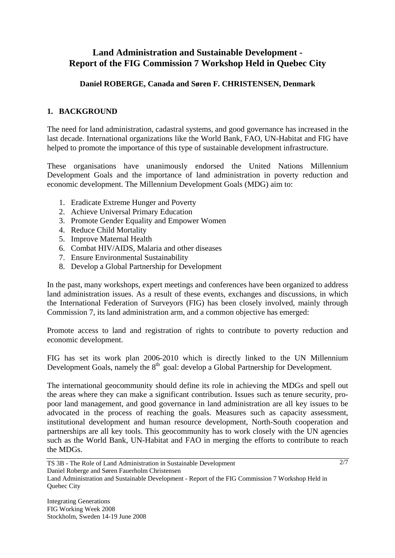# **Land Administration and Sustainable Development - Report of the FIG Commission 7 Workshop Held in Quebec City**

### **Daniel ROBERGE, Canada and Søren F. CHRISTENSEN, Denmark**

## **1. BACKGROUND**

The need for land administration, cadastral systems, and good governance has increased in the last decade. International organizations like the World Bank, FAO, UN-Habitat and FIG have helped to promote the importance of this type of sustainable development infrastructure.

These organisations have unanimously endorsed the United Nations Millennium Development Goals and the importance of land administration in poverty reduction and economic development. The Millennium Development Goals (MDG) aim to:

- 1. Eradicate Extreme Hunger and Poverty
- 2. Achieve Universal Primary Education
- 3. Promote Gender Equality and Empower Women
- 4. Reduce Child Mortality
- 5. Improve Maternal Health
- 6. Combat HIV/AIDS, Malaria and other diseases
- 7. Ensure Environmental Sustainability
- 8. Develop a Global Partnership for Development

In the past, many workshops, expert meetings and conferences have been organized to address land administration issues. As a result of these events, exchanges and discussions, in which the International Federation of Surveyors (FIG) has been closely involved, mainly through Commission 7, its land administration arm, and a common objective has emerged:

Promote access to land and registration of rights to contribute to poverty reduction and economic development.

FIG has set its work plan 2006-2010 which is directly linked to the UN Millennium Development Goals, namely the 8<sup>th</sup> goal: develop a Global Partnership for Development.

The international geocommunity should define its role in achieving the MDGs and spell out the areas where they can make a significant contribution. Issues such as tenure security, propoor land management, and good governance in land administration are all key issues to be advocated in the process of reaching the goals. Measures such as capacity assessment, institutional development and human resource development, North-South cooperation and partnerships are all key tools. This geocommunity has to work closely with the UN agencies such as the World Bank, UN-Habitat and FAO in merging the efforts to contribute to reach the MDGs.

TS 3B - The Role of Land Administration in Sustainable Development Daniel Roberge and Søren Fauerholm Christensen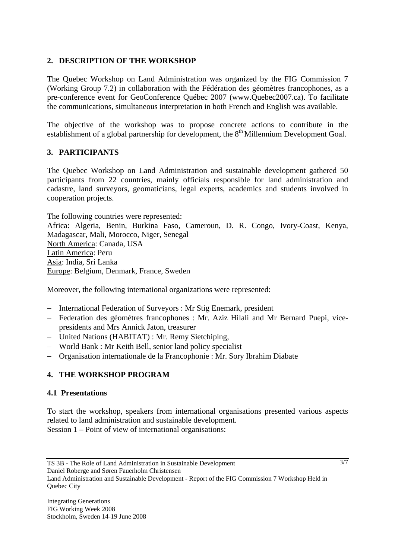### **2. DESCRIPTION OF THE WORKSHOP**

The Quebec Workshop on Land Administration was organized by the FIG Commission 7 (Working Group 7.2) in collaboration with the Fédération des géomètres francophones, as a pre-conference event for GeoConference Québec 2007 (www.Quebec2007.ca). To facilitate the communications, simultaneous interpretation in both French and English was available.

The objective of the workshop was to propose concrete actions to contribute in the establishment of a global partnership for development, the  $8<sup>th</sup>$  Millennium Development Goal.

## **3. PARTICIPANTS**

The Quebec Workshop on Land Administration and sustainable development gathered 50 participants from 22 countries, mainly officials responsible for land administration and cadastre, land surveyors, geomaticians, legal experts, academics and students involved in cooperation projects.

The following countries were represented: Africa: Algeria, Benin, Burkina Faso, Cameroun, D. R. Congo, Ivory-Coast, Kenya, Madagascar, Mali, Morocco, Niger, Senegal North America: Canada, USA Latin America: Peru Asia: India, Sri Lanka Europe: Belgium, Denmark, France, Sweden

Moreover, the following international organizations were represented:

- − International Federation of Surveyors : Mr Stig Enemark, president
- − Federation des géomètres francophones : Mr. Aziz Hilali and Mr Bernard Puepi, vicepresidents and Mrs Annick Jaton, treasurer
- − United Nations (HABITAT) : Mr. Remy Sietchiping,
- − World Bank : Mr Keith Bell, senior land policy specialist
- − Organisation internationale de la Francophonie : Mr. Sory Ibrahim Diabate

#### **4. THE WORKSHOP PROGRAM**

#### **4.1 Presentations**

To start the workshop, speakers from international organisations presented various aspects related to land administration and sustainable development. Session 1 – Point of view of international organisations:

Daniel Roberge and Søren Fauerholm Christensen

TS 3B - The Role of Land Administration in Sustainable Development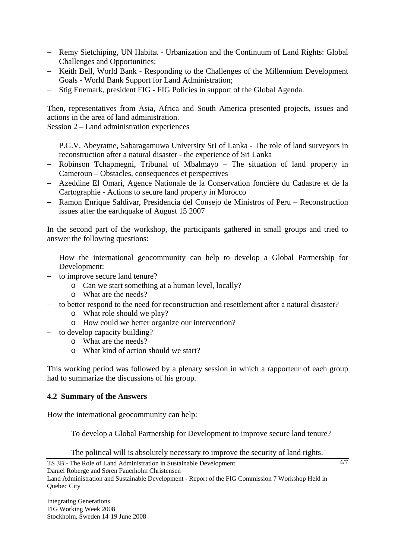- − Remy Sietchiping, UN Habitat Urbanization and the Continuum of Land Rights: Global Challenges and Opportunities;
- − Keith Bell, World Bank Responding to the Challenges of the Millennium Development Goals - World Bank Support for Land Administration;
- − Stig Enemark, president FIG FIG Policies in support of the Global Agenda.

Then, representatives from Asia, Africa and South America presented projects, issues and actions in the area of land administration.

Session 2 – Land administration experiences

- − P.G.V. Abeyratne, Sabaragamuwa University Sri of Lanka The role of land surveyors in reconstruction after a natural disaster - the experience of Sri Lanka
- − Robinson Tchapmegni, Tribunal of Mbalmayo The situation of land property in Cameroun – Obstacles, consequences et perspectives
- − Azeddine El Omari, Agence Nationale de la Conservation foncière du Cadastre et de la Cartographie - Actions to secure land property in Morocco
- − Ramon Enrique Saldivar, Presidencia del Consejo de Ministros of Peru Reconstruction issues after the earthquake of August 15 2007

In the second part of the workshop, the participants gathered in small groups and tried to answer the following questions:

- − How the international geocommunity can help to develop a Global Partnership for Development:
- − to improve secure land tenure?
	- o Can we start something at a human level, locally?
	- o What are the needs?
- − to better respond to the need for reconstruction and resettlement after a natural disaster?
	- o What role should we play?
	- o How could we better organize our intervention?
- − to develop capacity building?
	- o What are the needs?
	- o What kind of action should we start?

This working period was followed by a plenary session in which a rapporteur of each group had to summarize the discussions of his group.

#### **4.2 Summary of the Answers**

How the international geocommunity can help:

- − To develop a Global Partnership for Development to improve secure land tenure?
- − The political will is absolutely necessary to improve the security of land rights.

TS 3B - The Role of Land Administration in Sustainable Development Daniel Roberge and Søren Fauerholm Christensen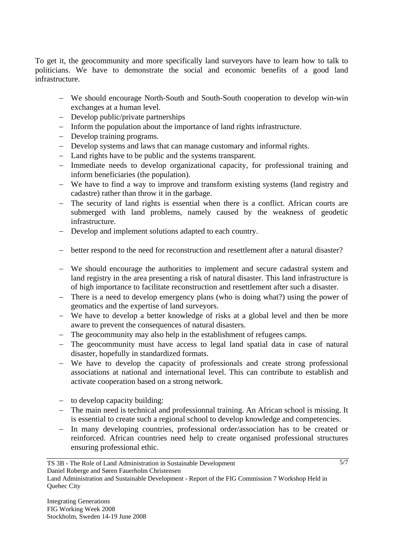To get it, the geocommunity and more specifically land surveyors have to learn how to talk to politicians. We have to demonstrate the social and economic benefits of a good land infrastructure.

- − We should encourage North-South and South-South cooperation to develop win-win exchanges at a human level.
- − Develop public/private partnerships
- − Inform the population about the importance of land rights infrastructure.
- − Develop training programs.
- − Develop systems and laws that can manage customary and informal rights.
- − Land rights have to be public and the systems transparent.
- − Immediate needs to develop organizational capacity, for professional training and inform beneficiaries (the population).
- − We have to find a way to improve and transform existing systems (land registry and cadastre) rather than throw it in the garbage.
- − The security of land rights is essential when there is a conflict. African courts are submerged with land problems, namely caused by the weakness of geodetic infrastructure.
- − Develop and implement solutions adapted to each country.
- − better respond to the need for reconstruction and resettlement after a natural disaster?
- − We should encourage the authorities to implement and secure cadastral system and land registry in the area presenting a risk of natural disaster. This land infrastructure is of high importance to facilitate reconstruction and resettlement after such a disaster.
- − There is a need to develop emergency plans (who is doing what?) using the power of geomatics and the expertise of land surveyors.
- − We have to develop a better knowledge of risks at a global level and then be more aware to prevent the consequences of natural disasters.
- − The geocommunity may also help in the establishment of refugees camps.
- − The geocommunity must have access to legal land spatial data in case of natural disaster, hopefully in standardized formats.
- − We have to develop the capacity of professionals and create strong professional associations at national and international level. This can contribute to establish and activate cooperation based on a strong network.
- − to develop capacity building:
- − The main need is technical and professionnal training. An African school is missing. It is essential to create such a regional school to develop knowledge and competencies.
- − In many developing countries, professional order/association has to be created or reinforced. African countries need help to create organised professional structures ensuring professional ethic.

TS 3B - The Role of Land Administration in Sustainable Development Daniel Roberge and Søren Fauerholm Christensen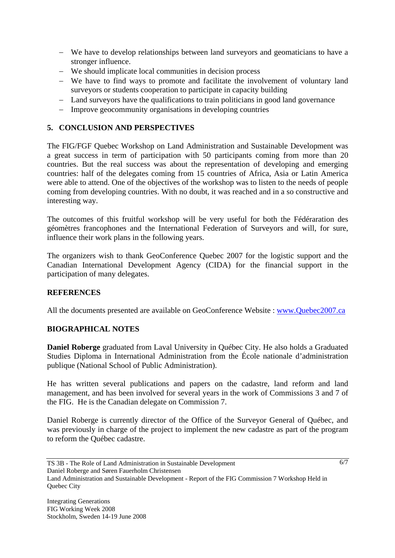- − We have to develop relationships between land surveyors and geomaticians to have a stronger influence.
- − We should implicate local communities in decision process
- − We have to find ways to promote and facilitate the involvement of voluntary land surveyors or students cooperation to participate in capacity building
- − Land surveyors have the qualifications to train politicians in good land governance
- − Improve geocommunity organisations in developing countries

### **5. CONCLUSION AND PERSPECTIVES**

The FIG/FGF Quebec Workshop on Land Administration and Sustainable Development was a great success in term of participation with 50 participants coming from more than 20 countries. But the real success was about the representation of developing and emerging countries: half of the delegates coming from 15 countries of Africa, Asia or Latin America were able to attend. One of the objectives of the workshop was to listen to the needs of people coming from developing countries. With no doubt, it was reached and in a so constructive and interesting way.

The outcomes of this fruitful workshop will be very useful for both the Fédéraration des géomètres francophones and the International Federation of Surveyors and will, for sure, influence their work plans in the following years.

The organizers wish to thank GeoConference Quebec 2007 for the logistic support and the Canadian International Development Agency (CIDA) for the financial support in the participation of many delegates.

#### **REFERENCES**

All the documents presented are available on GeoConference Website : www.Quebec2007.ca

#### **BIOGRAPHICAL NOTES**

**Daniel Roberge** graduated from Laval University in Québec City. He also holds a Graduated Studies Diploma in International Administration from the École nationale d'administration publique (National School of Public Administration).

He has written several publications and papers on the cadastre, land reform and land management, and has been involved for several years in the work of Commissions 3 and 7 of the FIG. He is the Canadian delegate on Commission 7.

Daniel Roberge is currently director of the Office of the Surveyor General of Québec, and was previously in charge of the project to implement the new cadastre as part of the program to reform the Québec cadastre.

Daniel Roberge and Søren Fauerholm Christensen

TS 3B - The Role of Land Administration in Sustainable Development